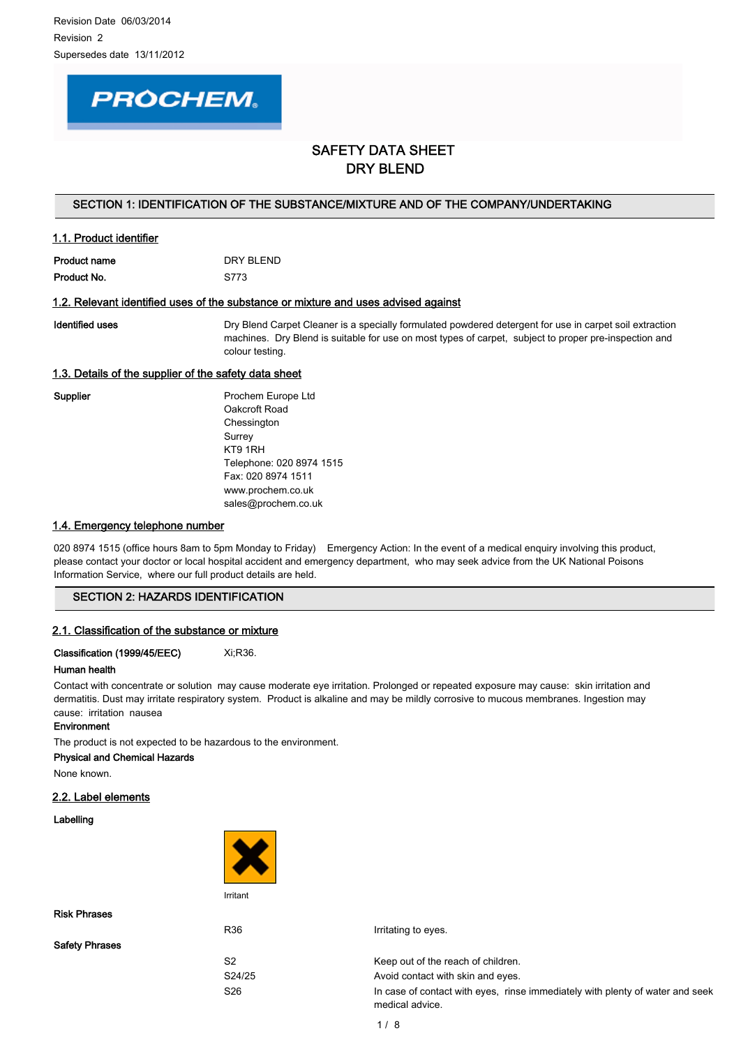# **PROCHEM.**

# SAFETY DATA SHEET DRY BLEND

#### SECTION 1: IDENTIFICATION OF THE SUBSTANCE/MIXTURE AND OF THE COMPANY/UNDERTAKING

## 1.1. Product identifier

| Product name | DRY BI FND |
|--------------|------------|
| Product No.  | S773       |

## 1.2. Relevant identified uses of the substance or mixture and uses advised against

Identified uses **Exercise Act Arror Constant** Dry Blend Carpet Cleaner is a specially formulated powdered detergent for use in carpet soil extraction machines. Dry Blend is suitable for use on most types of carpet, subject to proper pre-inspection and colour testing.

## 1.3. Details of the supplier of the safety data sheet

Supplier **Prochem Europe Ltd** Oakcroft Road Chessington Surrey KT9 1RH Telephone: 020 8974 1515 Fax: 020 8974 1511 www.prochem.co.uk sales@prochem.co.uk

#### 1.4. Emergency telephone number

020 8974 1515 (office hours 8am to 5pm Monday to Friday) Emergency Action: In the event of a medical enguiry involving this product, please contact your doctor or local hospital accident and emergency department, who may seek advice from the UK National Poisons Information Service, where our full product details are held.

## SECTION 2: HAZARDS IDENTIFICATION

#### 2.1. Classification of the substance or mixture

Classification (1999/45/EEC) Xi;R36.

#### Human health

Contact with concentrate or solution may cause moderate eye irritation. Prolonged or repeated exposure may cause: skin irritation and dermatitis. Dust may irritate respiratory system. Product is alkaline and may be mildly corrosive to mucous membranes. Ingestion may cause: irritation nausea

#### **Environment**

The product is not expected to be hazardous to the environment.

Physical and Chemical Hazards

None known.

#### 2.2. Label elements

Labelling



Risk Phrases

Safety Phrases

R36 **I**rritating to eyes.

S2 Keep out of the reach of children.

S24/25 Avoid contact with skin and eyes.

S26 **In case of contact with eyes, rinse immediately with plenty of water and seek** medical advice.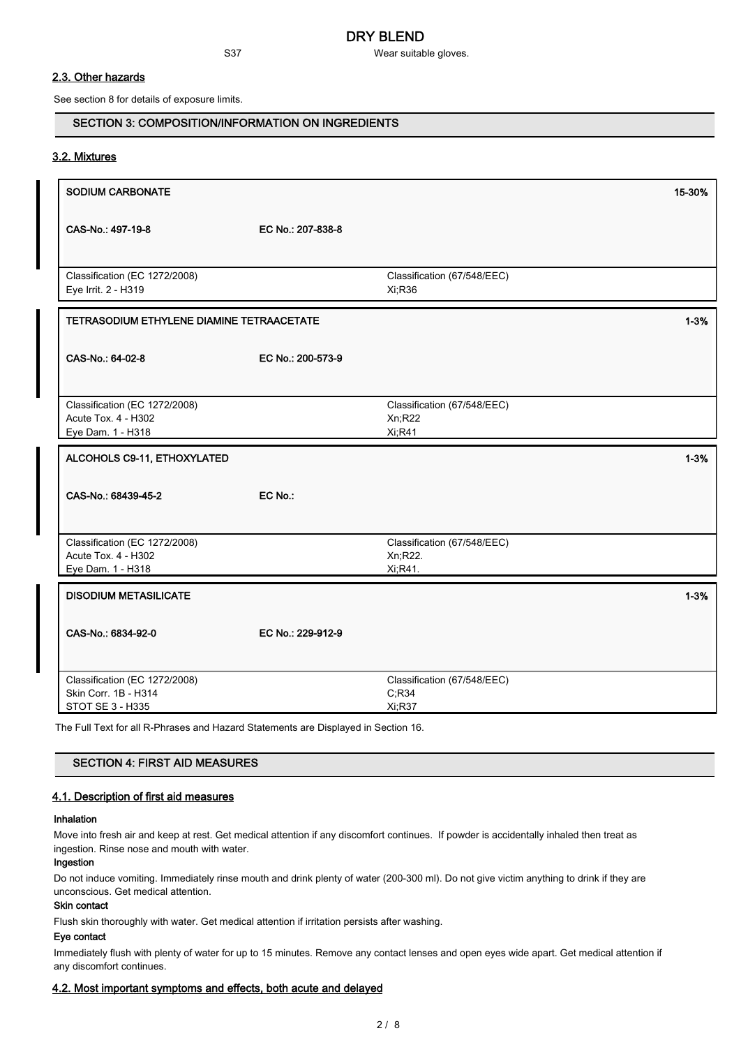S37 Wear suitable gloves.

## 2.3. Other hazards

See section 8 for details of exposure limits.

## SECTION 3: COMPOSITION/INFORMATION ON INGREDIENTS

#### 3.2. Mixtures

| SODIUM CARBONATE                                                          |                   |                                                   | 15-30%   |
|---------------------------------------------------------------------------|-------------------|---------------------------------------------------|----------|
| CAS-No.: 497-19-8                                                         | EC No.: 207-838-8 |                                                   |          |
| Classification (EC 1272/2008)<br>Eye Irrit. 2 - H319                      |                   | Classification (67/548/EEC)<br>Xi;R36             |          |
| TETRASODIUM ETHYLENE DIAMINE TETRAACETATE                                 |                   |                                                   | $1 - 3%$ |
| CAS-No.: 64-02-8                                                          | EC No.: 200-573-9 |                                                   |          |
| Classification (EC 1272/2008)<br>Acute Tox. 4 - H302<br>Eye Dam. 1 - H318 |                   | Classification (67/548/EEC)<br>Xn; R22<br>Xi, R41 |          |
| ALCOHOLS C9-11, ETHOXYLATED                                               |                   |                                                   | $1 - 3%$ |
| CAS-No.: 68439-45-2                                                       | EC No.:           |                                                   |          |
| Classification (EC 1272/2008)                                             |                   | Classification (67/548/EEC)                       |          |
| Acute Tox. 4 - H302<br>Eye Dam. 1 - H318                                  |                   | Xn;R22.<br>Xi, R41.                               |          |
| <b>DISODIUM METASILICATE</b>                                              |                   |                                                   | $1 - 3%$ |
| CAS-No.: 6834-92-0                                                        | EC No.: 229-912-9 |                                                   |          |
| Classification (EC 1272/2008)<br>Skin Corr. 1B - H314                     |                   | Classification (67/548/EEC)                       |          |
| STOT SE 3 - H335                                                          |                   | C; R34<br>Xi;R37                                  |          |

The Full Text for all R-Phrases and Hazard Statements are Displayed in Section 16.

| <b>SECTION 4: FIRST AID MEASURES</b> |  |  |
|--------------------------------------|--|--|
|                                      |  |  |

## 4.1. Description of first aid measures

#### Inhalation

Move into fresh air and keep at rest. Get medical attention if any discomfort continues. If powder is accidentally inhaled then treat as ingestion. Rinse nose and mouth with water.

## Ingestion

Do not induce vomiting. Immediately rinse mouth and drink plenty of water (200-300 ml). Do not give victim anything to drink if they are unconscious. Get medical attention.

## Skin contact

Flush skin thoroughly with water. Get medical attention if irritation persists after washing.

## Eye contact

Immediately flush with plenty of water for up to 15 minutes. Remove any contact lenses and open eyes wide apart. Get medical attention if any discomfort continues.

#### 4.2. Most important symptoms and effects, both acute and delayed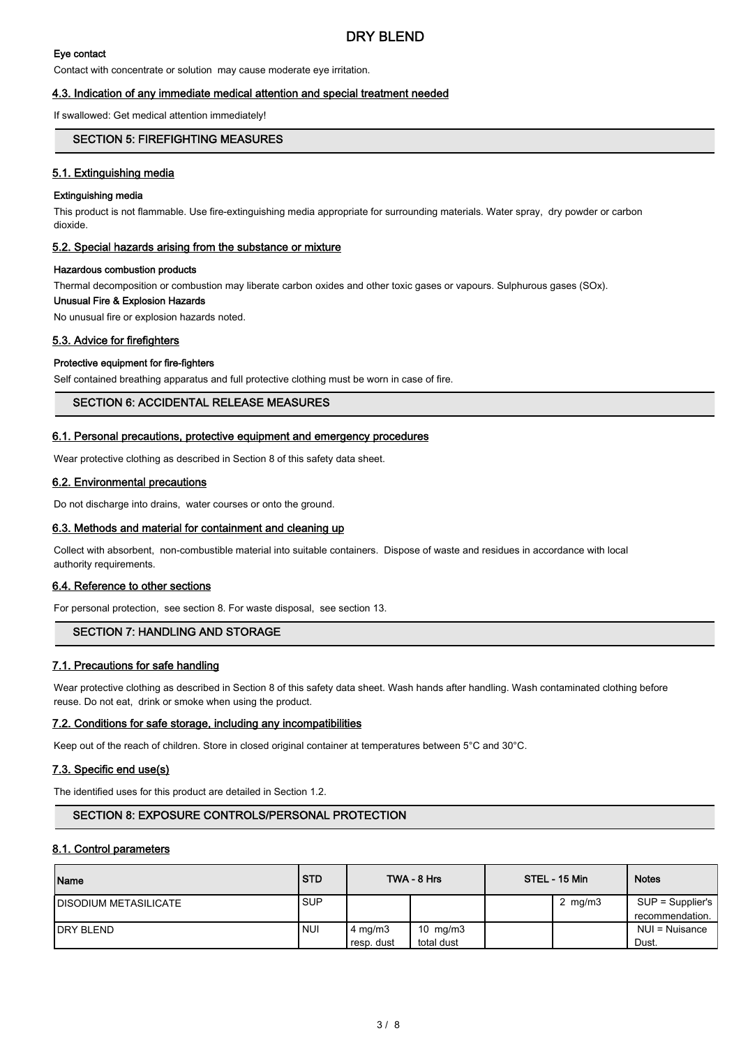## Eye contact

Contact with concentrate or solution may cause moderate eye irritation.

#### 4.3. Indication of any immediate medical attention and special treatment needed

If swallowed: Get medical attention immediately!

## SECTION 5: FIREFIGHTING MEASURES

#### 5.1. Extinguishing media

#### Extinguishing media

This product is not flammable. Use fire-extinguishing media appropriate for surrounding materials. Water spray, dry powder or carbon dioxide.

#### 5.2. Special hazards arising from the substance or mixture

#### Hazardous combustion products

Thermal decomposition or combustion may liberate carbon oxides and other toxic gases or vapours. Sulphurous gases (SOx).

# Unusual Fire & Explosion Hazards

No unusual fire or explosion hazards noted.

#### 5.3. Advice for firefighters

#### Protective equipment for fire-fighters

Self contained breathing apparatus and full protective clothing must be worn in case of fire.

## SECTION 6: ACCIDENTAL RELEASE MEASURES

#### 6.1. Personal precautions, protective equipment and emergency procedures

Wear protective clothing as described in Section 8 of this safety data sheet.

#### 6.2. Environmental precautions

Do not discharge into drains, water courses or onto the ground.

#### 6.3. Methods and material for containment and cleaning up

Collect with absorbent, non-combustible material into suitable containers. Dispose of waste and residues in accordance with local authority requirements.

#### 6.4. Reference to other sections

For personal protection, see section 8. For waste disposal, see section 13.

## SECTION 7: HANDLING AND STORAGE

#### 7.1. Precautions for safe handling

Wear protective clothing as described in Section 8 of this safety data sheet. Wash hands after handling. Wash contaminated clothing before reuse. Do not eat, drink or smoke when using the product.

#### 7.2. Conditions for safe storage, including any incompatibilities

Keep out of the reach of children. Store in closed original container at temperatures between 5°C and 30°C.

#### 7.3. Specific end use(s)

The identified uses for this product are detailed in Section 1.2.

## SECTION 8: EXPOSURE CONTROLS/PERSONAL PROTECTION

#### 8.1. Control parameters

| Name                          | <b>STD</b> |                    | TWA - 8 Hrs | STEL - 15 Min | <b>Notes</b>                        |
|-------------------------------|------------|--------------------|-------------|---------------|-------------------------------------|
| <b>IDISODIUM METASILICATE</b> | <b>SUP</b> |                    |             | 2 $mg/m3$     | SUP = Supplier's<br>recommendation. |
| <b>IDRY BLEND</b>             | <b>NUI</b> | $4 \text{ mg/m}$ 3 | 10 $mg/m3$  |               | NUI = Nuisance                      |
|                               |            | resp. dust         | total dust  |               | Dust.                               |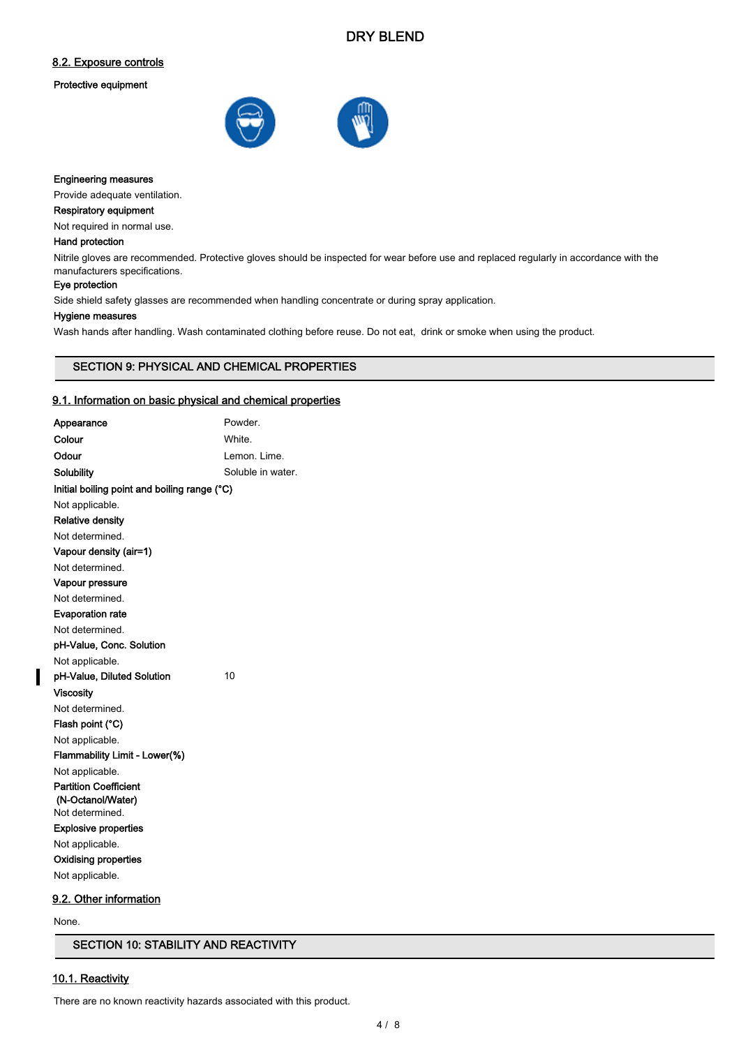# DRY BLEND

## 8.2. Exposure controls

#### Protective equipment



#### Engineering measures

Provide adequate ventilation.

## Respiratory equipment

Not required in normal use.

## Hand protection

Nitrile gloves are recommended. Protective gloves should be inspected for wear before use and replaced regularly in accordance with the manufacturers specifications.

#### Eye protection

Side shield safety glasses are recommended when handling concentrate or during spray application.

#### Hygiene measures

Wash hands after handling. Wash contaminated clothing before reuse. Do not eat, drink or smoke when using the product.

#### SECTION 9: PHYSICAL AND CHEMICAL PROPERTIES

#### 9.1. Information on basic physical and chemical properties

| Appearance                                   | Powder.           |
|----------------------------------------------|-------------------|
| Colour                                       | White.            |
| Odour                                        | Lemon. Lime.      |
| Solubility                                   | Soluble in water. |
| Initial boiling point and boiling range (°C) |                   |
| Not applicable.                              |                   |
| <b>Relative density</b>                      |                   |
| Not determined.                              |                   |
| Vapour density (air=1)                       |                   |
| Not determined                               |                   |
| Vapour pressure                              |                   |
| Not determined.                              |                   |
| <b>Evaporation rate</b>                      |                   |
| Not determined.                              |                   |
| pH-Value, Conc. Solution                     |                   |
| Not applicable.                              |                   |
| pH-Value, Diluted Solution                   | 10                |
| <b>Viscosity</b>                             |                   |
| Not determined.                              |                   |
| Flash point (°C)                             |                   |
| Not applicable.                              |                   |
| Flammability Limit - Lower(%)                |                   |
| Not applicable.                              |                   |
| <b>Partition Coefficient</b>                 |                   |
| (N-Octanol/Water)                            |                   |
| Not determined.                              |                   |
| <b>Explosive properties</b>                  |                   |
| Not applicable.                              |                   |
| Oxidising properties                         |                   |
| Not applicable.                              |                   |

#### 9.2. Other information

None.

 $\overline{\phantom{a}}$ 

## SECTION 10: STABILITY AND REACTIVITY

## 10.1. Reactivity

There are no known reactivity hazards associated with this product.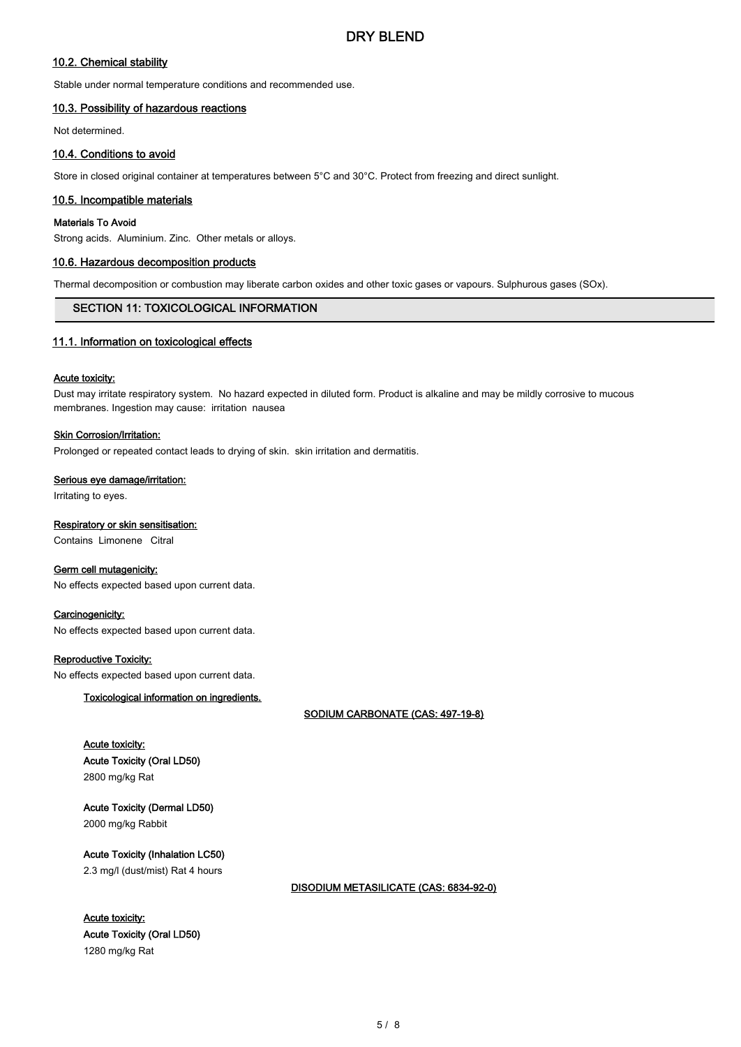## 10.2. Chemical stability

Stable under normal temperature conditions and recommended use.

## 10.3. Possibility of hazardous reactions

Not determined.

### 10.4. Conditions to avoid

Store in closed original container at temperatures between 5°C and 30°C. Protect from freezing and direct sunlight.

#### 10.5. Incompatible materials

#### Materials To Avoid

Strong acids. Aluminium. Zinc. Other metals or alloys.

#### 10.6. Hazardous decomposition products

Thermal decomposition or combustion may liberate carbon oxides and other toxic gases or vapours. Sulphurous gases (SOx).

## SECTION 11: TOXICOLOGICAL INFORMATION

#### 11.1. Information on toxicological effects

#### Acute toxicity:

Dust may irritate respiratory system. No hazard expected in diluted form. Product is alkaline and may be mildly corrosive to mucous membranes. Ingestion may cause: irritation nausea

#### Skin Corrosion/Irritation:

Prolonged or repeated contact leads to drying of skin. skin irritation and dermatitis.

#### Serious eye damage/irritation:

Irritating to eyes.

#### Respiratory or skin sensitisation:

Contains Limonene Citral

#### Germ cell mutagenicity:

No effects expected based upon current data.

#### Carcinogenicity:

No effects expected based upon current data.

#### Reproductive Toxicity:

No effects expected based upon current data.

#### Toxicological information on ingredients.

SODIUM CARBONATE (CAS: 497-19-8)

## Acute toxicity: Acute Toxicity (Oral LD50) 2800 mg/kg Rat

Acute Toxicity (Dermal LD50) 2000 mg/kg Rabbit

Acute Toxicity (Inhalation LC50) 2.3 mg/l (dust/mist) Rat 4 hours

#### DISODIUM METASILICATE (CAS: 6834-92-0)

Acute toxicity: Acute Toxicity (Oral LD50) 1280 mg/kg Rat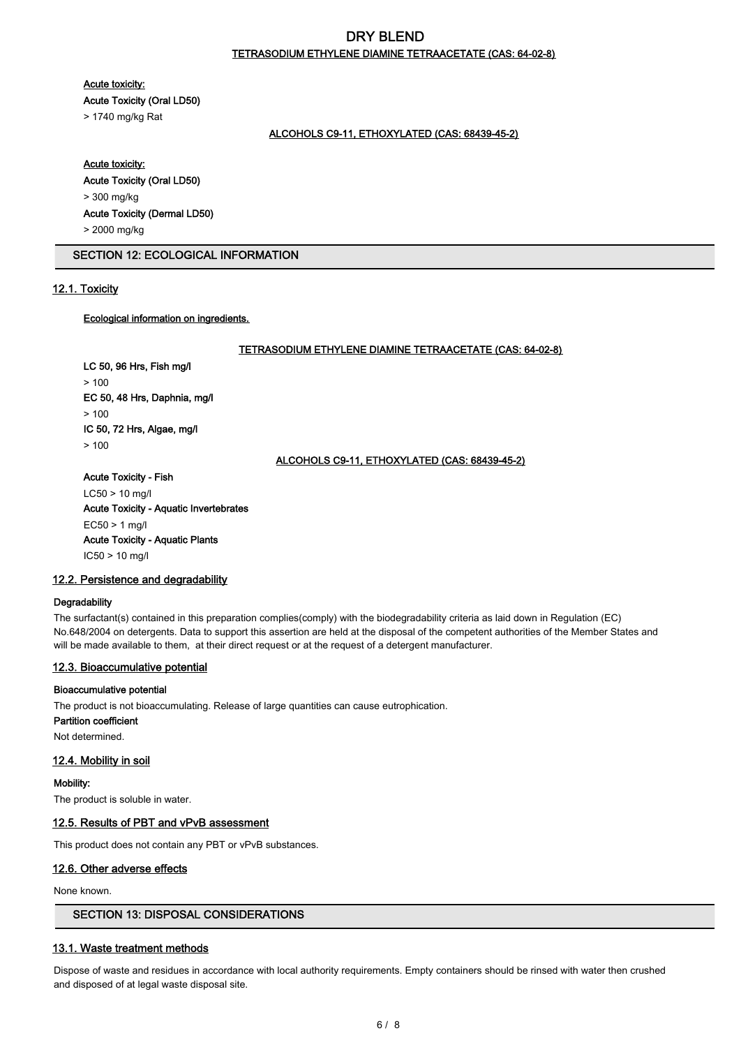# DRY BLEND TETRASODIUM ETHYLENE DIAMINE TETRAACETATE (CAS: 64-02-8)

Acute toxicity:

Acute Toxicity (Oral LD50)

> 1740 mg/kg Rat

#### ALCOHOLS C9-11, ETHOXYLATED (CAS: 68439-45-2)

#### Acute toxicity:

#### Acute Toxicity (Oral LD50) > 300 mg/kg

# Acute Toxicity (Dermal LD50)

> 2000 mg/kg

## SECTION 12: ECOLOGICAL INFORMATION

## 12.1. Toxicity

## Ecological information on ingredients.

#### TETRASODIUM ETHYLENE DIAMINE TETRAACETATE (CAS: 64-02-8)

LC 50, 96 Hrs, Fish mg/l  $> 100$ EC 50, 48 Hrs, Daphnia, mg/l  $> 100$ IC 50, 72 Hrs, Algae, mg/l > 100

## ALCOHOLS C9-11, ETHOXYLATED (CAS: 68439-45-2)

#### Acute Toxicity - Fish

LC50 > 10 mg/l Acute Toxicity - Aquatic Invertebrates EC50 > 1 mg/l Acute Toxicity - Aquatic Plants IC50 > 10 mg/l

#### 12.2. Persistence and degradability

#### **Degradability**

The surfactant(s) contained in this preparation complies(comply) with the biodegradability criteria as laid down in Regulation (EC) No.648/2004 on detergents. Data to support this assertion are held at the disposal of the competent authorities of the Member States and will be made available to them, at their direct request or at the request of a detergent manufacturer.

## 12.3. Bioaccumulative potential

#### Bioaccumulative potential

The product is not bioaccumulating. Release of large quantities can cause eutrophication.

Partition coefficient

Not determined.

#### 12.4. Mobility in soil

#### Mobility:

The product is soluble in water.

## 12.5. Results of PBT and vPvB assessment

This product does not contain any PBT or vPvB substances.

## 12.6. Other adverse effects

None known.

## SECTION 13: DISPOSAL CONSIDERATIONS

## 13.1. Waste treatment methods

Dispose of waste and residues in accordance with local authority requirements. Empty containers should be rinsed with water then crushed and disposed of at legal waste disposal site.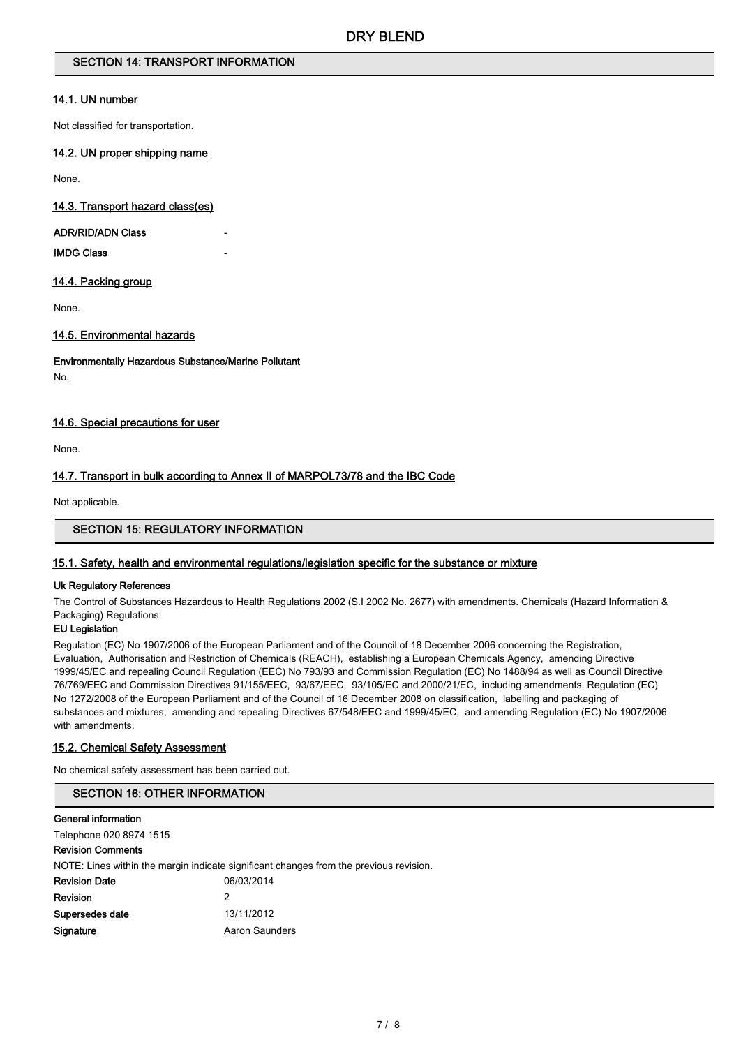## SECTION 14: TRANSPORT INFORMATION

## 14.1. UN number

Not classified for transportation.

#### 14.2. UN proper shipping name

None.

#### 14.3. Transport hazard class(es)

#### ADR/RID/ADN Class

IMDG Class -

#### 14.4. Packing group

None.

## 14.5. Environmental hazards

## Environmentally Hazardous Substance/Marine Pollutant

No.

## 14.6. Special precautions for user

None.

## 14.7. Transport in bulk according to Annex II of MARPOL73/78 and the IBC Code

Not applicable.

## SECTION 15: REGULATORY INFORMATION

## 15.1. Safety, health and environmental regulations/legislation specific for the substance or mixture

#### Uk Regulatory References

The Control of Substances Hazardous to Health Regulations 2002 (S.I 2002 No. 2677) with amendments. Chemicals (Hazard Information & Packaging) Regulations.

## EU Legislation

Regulation (EC) No 1907/2006 of the European Parliament and of the Council of 18 December 2006 concerning the Registration, Evaluation, Authorisation and Restriction of Chemicals (REACH), establishing a European Chemicals Agency, amending Directive 1999/45/EC and repealing Council Regulation (EEC) No 793/93 and Commission Regulation (EC) No 1488/94 as well as Council Directive 76/769/EEC and Commission Directives 91/155/EEC, 93/67/EEC, 93/105/EC and 2000/21/EC, including amendments. Regulation (EC) No 1272/2008 of the European Parliament and of the Council of 16 December 2008 on classification, labelling and packaging of substances and mixtures, amending and repealing Directives 67/548/EEC and 1999/45/EC, and amending Regulation (EC) No 1907/2006 with amendments.

#### 15.2. Chemical Safety Assessment

No chemical safety assessment has been carried out.

## SECTION 16: OTHER INFORMATION

#### General information

Telephone 020 8974 1515

## Revision Comments

|                      | NOTE: Lines within the margin indicate significant changes from the previous revision. |
|----------------------|----------------------------------------------------------------------------------------|
| <b>Revision Date</b> | 06/03/2014                                                                             |
| Revision             |                                                                                        |
| Supersedes date      | 13/11/2012                                                                             |
| Signature            | Aaron Saunders                                                                         |